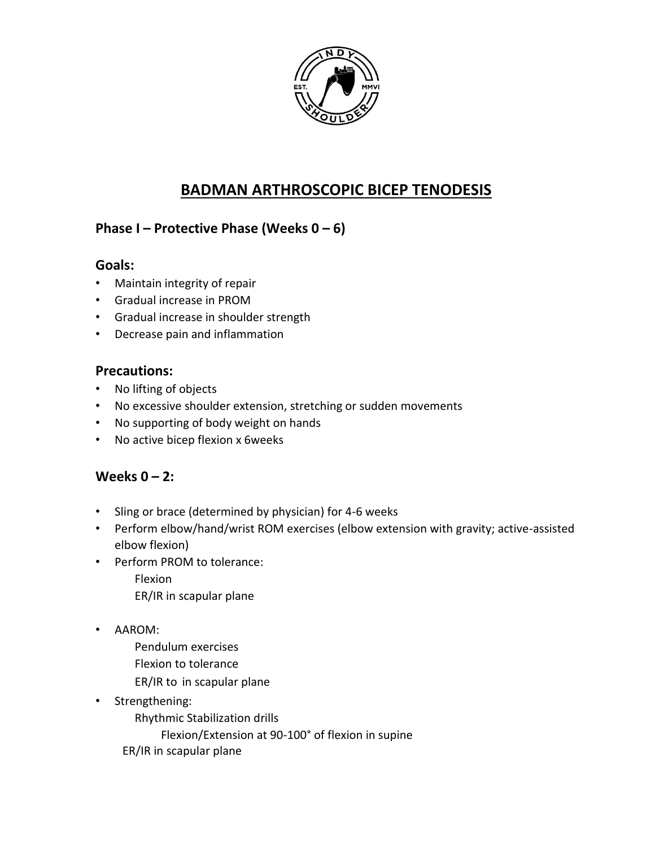

# **BADMAN ARTHROSCOPIC BICEP TENODESIS**

# **Phase I – Protective Phase (Weeks 0 – 6)**

### **Goals:**

- Maintain integrity of repair
- Gradual increase in PROM
- Gradual increase in shoulder strength
- Decrease pain and inflammation

### **Precautions:**

- No lifting of objects
- No excessive shoulder extension, stretching or sudden movements
- No supporting of body weight on hands
- No active bicep flexion x 6weeks

## **Weeks 0 – 2:**

- Sling or brace (determined by physician) for 4-6 weeks
- Perform elbow/hand/wrist ROM exercises (elbow extension with gravity; active-assisted elbow flexion)
- Perform PROM to tolerance:
	- Flexion ER/IR in scapular plane
- AAROM:
	- Pendulum exercises
	- Flexion to tolerance
	- ER/IR to in scapular plane
- Strengthening:
	- Rhythmic Stabilization drills
		- Flexion/Extension at 90-100° of flexion in supine
	- ER/IR in scapular plane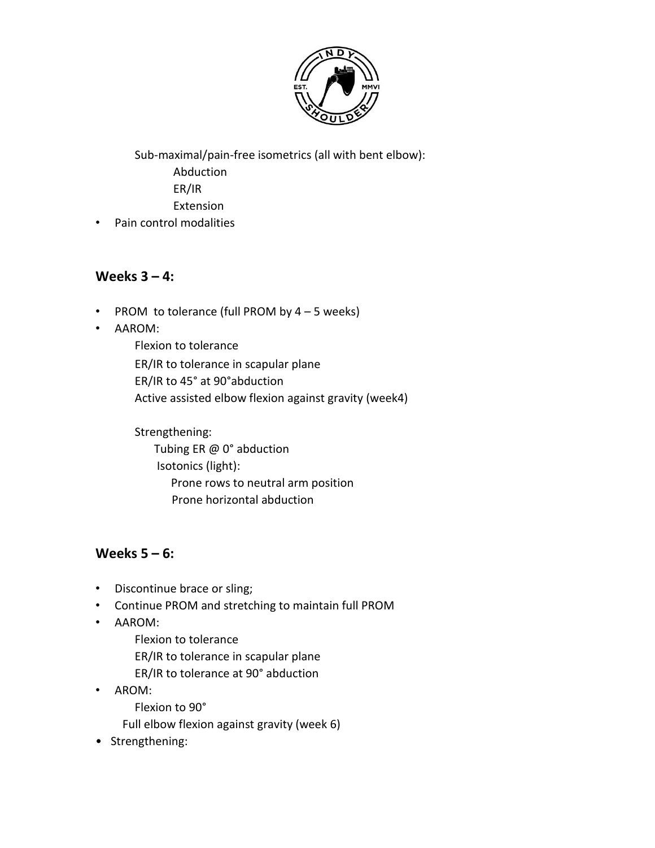

Sub-maximal/pain-free isometrics (all with bent elbow): Abduction ER/IR Extension

• Pain control modalities

#### **Weeks 3 – 4:**

- PROM to tolerance (full PROM by  $4 5$  weeks)
- AAROM:

Flexion to tolerance ER/IR to tolerance in scapular plane ER/IR to 45° at 90°abduction Active assisted elbow flexion against gravity (week4)

Strengthening: Tubing ER @ 0° abduction Isotonics (light): Prone rows to neutral arm position Prone horizontal abduction

### **Weeks 5 – 6:**

- Discontinue brace or sling;
- Continue PROM and stretching to maintain full PROM
- AAROM:
	- Flexion to tolerance
	- ER/IR to tolerance in scapular plane
	- ER/IR to tolerance at 90° abduction
- AROM:
	- Flexion to 90°
	- Full elbow flexion against gravity (week 6)
- Strengthening: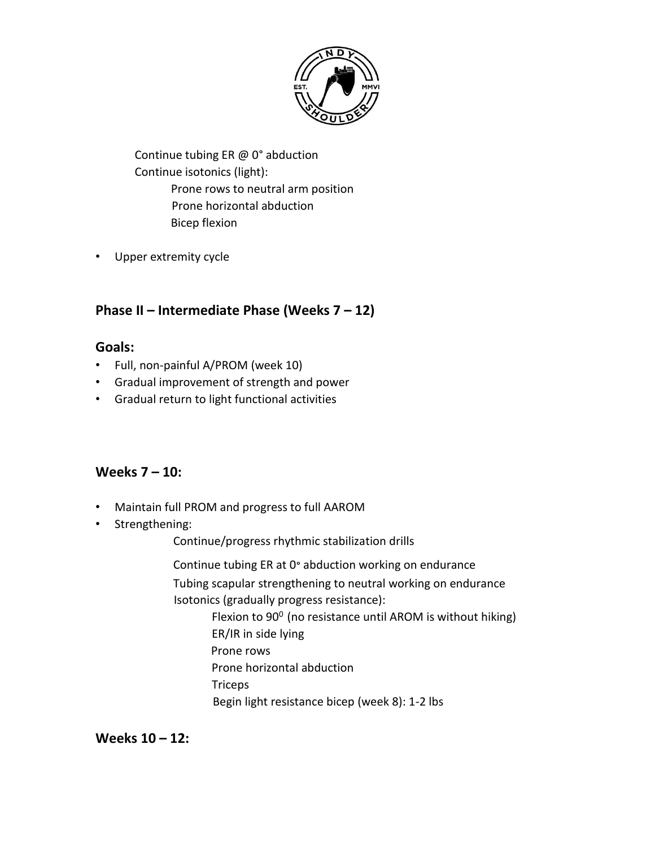

Continue tubing ER @ 0° abduction Continue isotonics (light): Prone rows to neutral arm position Prone horizontal abduction Bicep flexion

• Upper extremity cycle

## **Phase II – Intermediate Phase (Weeks 7 – 12)**

### **Goals:**

- Full, non-painful A/PROM (week 10)
- Gradual improvement of strength and power
- Gradual return to light functional activities

### **Weeks 7 – 10:**

- Maintain full PROM and progress to full AAROM
- Strengthening:

Continue/progress rhythmic stabilization drills

Continue tubing ER at 0° abduction working on endurance

Tubing scapular strengthening to neutral working on endurance Isotonics (gradually progress resistance):

> Flexion to  $90^0$  (no resistance until AROM is without hiking) ER/IR in side lying Prone rows Prone horizontal abduction **Triceps** Begin light resistance bicep (week 8): 1-2 lbs

**Weeks 10 – 12:**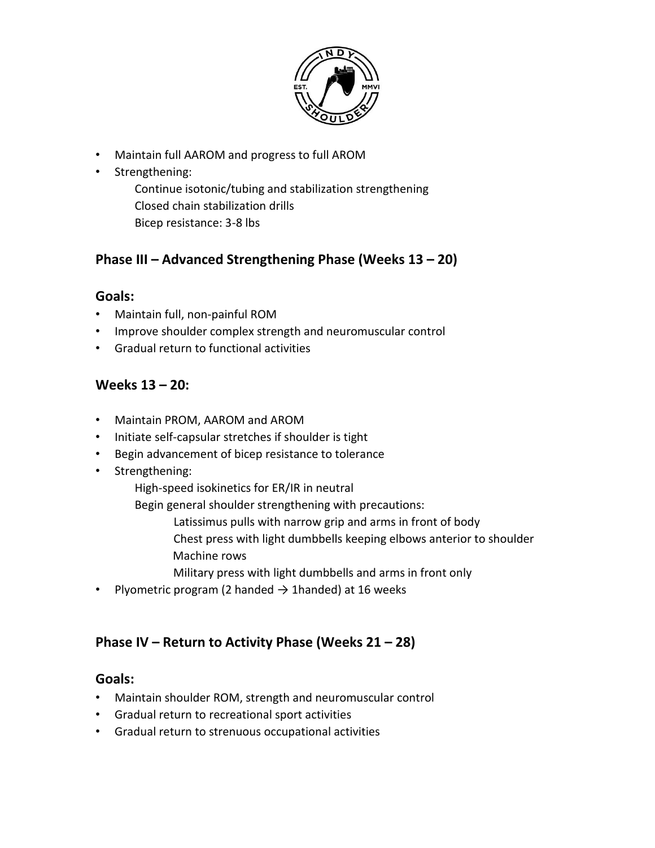

- Maintain full AAROM and progress to full AROM
- Strengthening:

Continue isotonic/tubing and stabilization strengthening Closed chain stabilization drills Bicep resistance: 3-8 lbs

## **Phase III – Advanced Strengthening Phase (Weeks 13 – 20)**

#### **Goals:**

- Maintain full, non-painful ROM
- Improve shoulder complex strength and neuromuscular control
- Gradual return to functional activities

## **Weeks 13 – 20:**

- Maintain PROM, AAROM and AROM
- Initiate self-capsular stretches if shoulder is tight
- Begin advancement of bicep resistance to tolerance
- Strengthening:
	- High-speed isokinetics for ER/IR in neutral
	- Begin general shoulder strengthening with precautions:
		- Latissimus pulls with narrow grip and arms in front of body
		- Chest press with light dumbbells keeping elbows anterior to shoulder Machine rows
		- Military press with light dumbbells and arms in front only
- Plyometric program (2 handed  $\rightarrow$  1handed) at 16 weeks

## **Phase IV – Return to Activity Phase (Weeks 21 – 28)**

#### **Goals:**

- Maintain shoulder ROM, strength and neuromuscular control
- Gradual return to recreational sport activities
- Gradual return to strenuous occupational activities